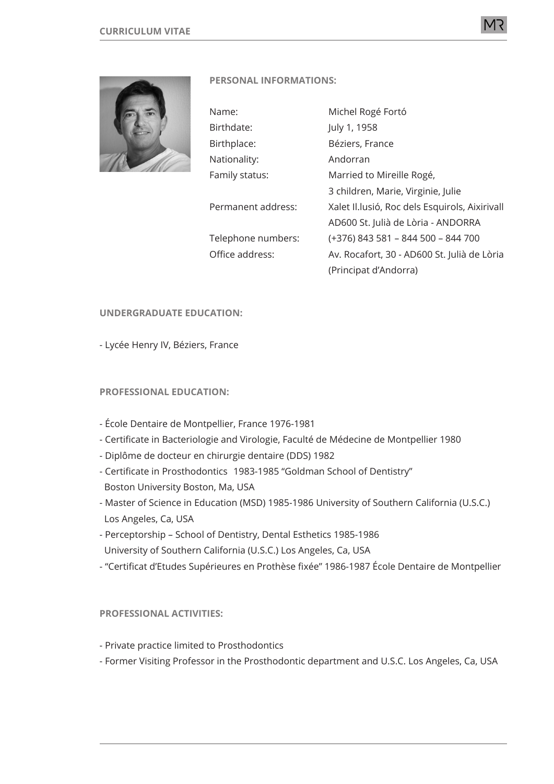

# **PERSONAL INFORMATIONS:**

| Name:              | Michel Rogé Fortó                               |
|--------------------|-------------------------------------------------|
| Birthdate:         | July 1, 1958                                    |
| Birthplace:        | Béziers, France                                 |
| Nationality:       | Andorran                                        |
| Family status:     | Married to Mireille Rogé,                       |
|                    | 3 children, Marie, Virginie, Julie              |
| Permanent address: | Xalet II. lusió, Roc dels Esquirols, Aixirivall |
|                    | AD600 St. Julià de Lòria - ANDORRA              |
| Telephone numbers: | (+376) 843 581 - 844 500 - 844 700              |
| Office address:    | Av. Rocafort, 30 - AD600 St. Julià de Lòria     |
|                    | (Principat d'Andorra)                           |

# **UNDERGRADUATE EDUCATION:**

- Lycée Henry IV, Béziers, France

# **PROFESSIONAL EDUCATION:**

- École Dentaire de Montpellier, France 1976-1981
- Certificate in Bacteriologie and Virologie, Faculté de Médecine de Montpellier 1980
- Diplôme de docteur en chirurgie dentaire (DDS) 1982
- Certificate in Prosthodontics 1983-1985 "Goldman School of Dentistry" Boston University Boston, Ma, USA
- Master of Science in Education (MSD) 1985-1986 University of Southern California (U.S.C.) Los Angeles, Ca, USA
- Perceptorship School of Dentistry, Dental Esthetics 1985-1986 University of Southern California (U.S.C.) Los Angeles, Ca, USA
- "Certificat d'Etudes Supérieures en Prothèse fixée" 1986-1987 École Dentaire de Montpellier

### **PROFESSIONAL ACTIVITIES:**

- Private practice limited to Prosthodontics
- Former Visiting Professor in the Prosthodontic department and U.S.C. Los Angeles, Ca, USA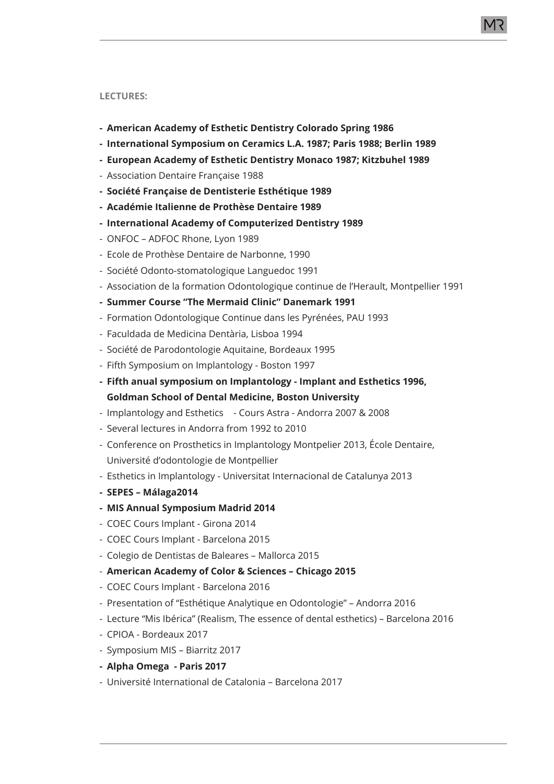#### **LECTURES:**

- **- American Academy of Esthetic Dentistry Colorado Spring 1986**
- **- International Symposium on Ceramics L.A. 1987; Paris 1988; Berlin 1989**
- **- European Academy of Esthetic Dentistry Monaco 1987; Kitzbuhel 1989**
- Association Dentaire Française 1988
- **- Société Française de Dentisterie Esthétique 1989**
- **- Académie Italienne de Prothèse Dentaire 1989**
- **- International Academy of Computerized Dentistry 1989**
- ONFOC ADFOC Rhone, Lyon 1989
- Ecole de Prothèse Dentaire de Narbonne, 1990
- Société Odonto-stomatologique Languedoc 1991
- Association de la formation Odontologique continue de l'Herault, Montpellier 1991
- **- Summer Course "The Mermaid Clinic" Danemark 1991**
- Formation Odontologique Continue dans les Pyrénées, PAU 1993
- Faculdada de Medicina Dentària, Lisboa 1994
- Société de Parodontologie Aquitaine, Bordeaux 1995
- Fifth Symposium on Implantology Boston 1997
- **- Fifth anual symposium on Implantology Implant and Esthetics 1996, Goldman School of Dental Medicine, Boston University**
- Implantology and Esthetics Cours Astra Andorra 2007 & 2008
- Several lectures in Andorra from 1992 to 2010
- Conference on Prosthetics in Implantology Montpelier 2013, École Dentaire, Université d'odontologie de Montpellier
- Esthetics in Implantology Universitat Internacional de Catalunya 2013
- **- SEPES Málaga2014**
- **- MIS Annual Symposium Madrid 2014**
- COEC Cours Implant Girona 2014
- COEC Cours Implant Barcelona 2015
- Colegio de Dentistas de Baleares Mallorca 2015
- **American Academy of Color & Sciences Chicago 2015**
- COEC Cours Implant Barcelona 2016
- Presentation of "Esthétique Analytique en Odontologie" Andorra 2016
- Lecture "Mis Ibérica" (Realism, The essence of dental esthetics) Barcelona 2016
- CPIOA Bordeaux 2017
- Symposium MIS Biarritz 2017
- **- Alpha Omega Paris 2017**
- Université International de Catalonia Barcelona 2017